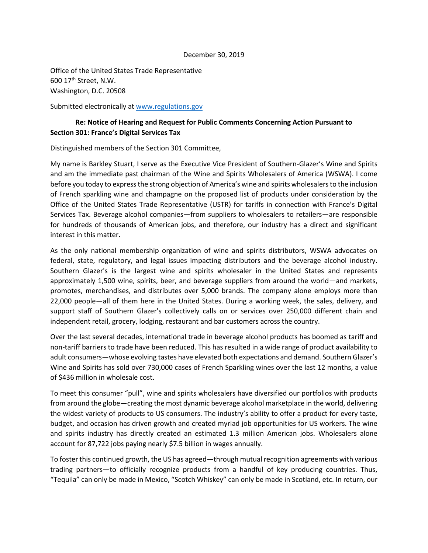## December 30, 2019

Office of the United States Trade Representative 600 17th Street, N.W. Washington, D.C. 20508

Submitted electronically a[t www.regulations.gov](http://www.regulations.gov/)

## **Re: Notice of Hearing and Request for Public Comments Concerning Action Pursuant to Section 301: France's Digital Services Tax**

Distinguished members of the Section 301 Committee,

My name is Barkley Stuart, I serve as the Executive Vice President of Southern-Glazer's Wine and Spirits and am the immediate past chairman of the Wine and Spirits Wholesalers of America (WSWA). I come before you today to express the strong objection of America's wine and spirits wholesalers to the inclusion of French sparkling wine and champagne on the proposed list of products under consideration by the Office of the United States Trade Representative (USTR) for tariffs in connection with France's Digital Services Tax. Beverage alcohol companies—from suppliers to wholesalers to retailers—are responsible for hundreds of thousands of American jobs, and therefore, our industry has a direct and significant interest in this matter.

As the only national membership organization of wine and spirits distributors, WSWA advocates on federal, state, regulatory, and legal issues impacting distributors and the beverage alcohol industry. Southern Glazer's is the largest wine and spirits wholesaler in the United States and represents approximately 1,500 wine, spirits, beer, and beverage suppliers from around the world—and markets, promotes, merchandises, and distributes over 5,000 brands. The company alone employs more than 22,000 people—all of them here in the United States. During a working week, the sales, delivery, and support staff of Southern Glazer's collectively calls on or services over 250,000 different chain and independent retail, grocery, lodging, restaurant and bar customers across the country.

Over the last several decades, international trade in beverage alcohol products has boomed as tariff and non-tariff barriers to trade have been reduced. This has resulted in a wide range of product availability to adult consumers—whose evolving tastes have elevated both expectations and demand. Southern Glazer's Wine and Spirits has sold over 730,000 cases of French Sparkling wines over the last 12 months, a value of \$436 million in wholesale cost.

To meet this consumer "pull", wine and spirits wholesalers have diversified our portfolios with products from around the globe—creating the most dynamic beverage alcohol marketplace in the world, delivering the widest variety of products to US consumers. The industry's ability to offer a product for every taste, budget, and occasion has driven growth and created myriad job opportunities for US workers. The wine and spirits industry has directly created an estimated 1.3 million American jobs. Wholesalers alone account for 87,722 jobs paying nearly \$7.5 billion in wages annually.

To foster this continued growth, the US has agreed—through mutual recognition agreements with various trading partners—to officially recognize products from a handful of key producing countries. Thus, "Tequila" can only be made in Mexico, "Scotch Whiskey" can only be made in Scotland, etc. In return, our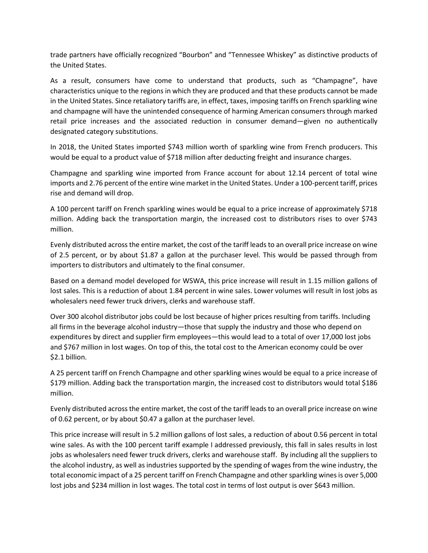trade partners have officially recognized "Bourbon" and "Tennessee Whiskey" as distinctive products of the United States.

As a result, consumers have come to understand that products, such as "Champagne", have characteristics unique to the regions in which they are produced and that these products cannot be made in the United States. Since retaliatory tariffs are, in effect, taxes, imposing tariffs on French sparkling wine and champagne will have the unintended consequence of harming American consumers through marked retail price increases and the associated reduction in consumer demand—given no authentically designated category substitutions.

In 2018, the United States imported \$743 million worth of sparkling wine from French producers. This would be equal to a product value of \$718 million after deducting freight and insurance charges.

Champagne and sparkling wine imported from France account for about 12.14 percent of total wine imports and 2.76 percent of the entire wine market in the United States. Under a 100-percent tariff, prices rise and demand will drop.

A 100 percent tariff on French sparkling wines would be equal to a price increase of approximately \$718 million. Adding back the transportation margin, the increased cost to distributors rises to over \$743 million.

Evenly distributed across the entire market, the cost of the tariff leads to an overall price increase on wine of 2.5 percent, or by about \$1.87 a gallon at the purchaser level. This would be passed through from importers to distributors and ultimately to the final consumer.

Based on a demand model developed for WSWA, this price increase will result in 1.15 million gallons of lost sales. This is a reduction of about 1.84 percent in wine sales. Lower volumes will result in lost jobs as wholesalers need fewer truck drivers, clerks and warehouse staff.

Over 300 alcohol distributor jobs could be lost because of higher prices resulting from tariffs. Including all firms in the beverage alcohol industry—those that supply the industry and those who depend on expenditures by direct and supplier firm employees—this would lead to a total of over 17,000 lost jobs and \$767 million in lost wages. On top of this, the total cost to the American economy could be over \$2.1 billion.

A 25 percent tariff on French Champagne and other sparkling wines would be equal to a price increase of \$179 million. Adding back the transportation margin, the increased cost to distributors would total \$186 million.

Evenly distributed across the entire market, the cost of the tariff leads to an overall price increase on wine of 0.62 percent, or by about \$0.47 a gallon at the purchaser level.

This price increase will result in 5.2 million gallons of lost sales, a reduction of about 0.56 percent in total wine sales. As with the 100 percent tariff example I addressed previously, this fall in sales results in lost jobs as wholesalers need fewer truck drivers, clerks and warehouse staff. By including all the suppliers to the alcohol industry, as well as industries supported by the spending of wages from the wine industry, the total economic impact of a 25 percent tariff on French Champagne and other sparkling wines is over 5,000 lost jobs and \$234 million in lost wages. The total cost in terms of lost output is over \$643 million.